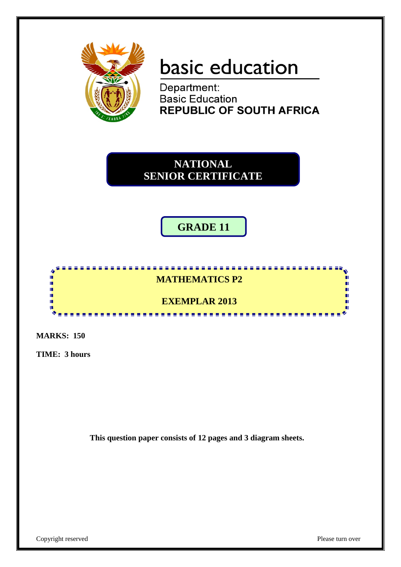

# basic education

Department: **Basic Education REPUBLIC OF SOUTH AFRICA** 

**NATIONAL SENIOR CERTIFICATE**

## **GRADE 11**

#### <u>...................</u> 88888  $\overline{a}$ IĖ, **MATHEMATICS P2** 庫 ı. ú. **EXEMPLAR 2013** m Ţ. ....................

**MARKS: 150**

**TIME: 3 hours**

**This question paper consists of 12 pages and 3 diagram sheets.**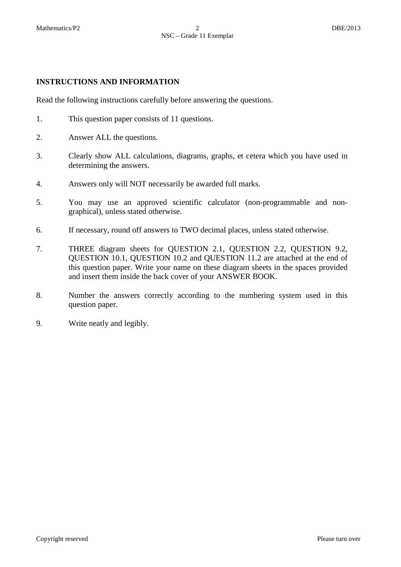#### **INSTRUCTIONS AND INFORMATION**

Read the following instructions carefully before answering the questions.

- 1. This question paper consists of 11 questions.
- 2. Answer ALL the questions.
- 3. Clearly show ALL calculations, diagrams, graphs, et cetera which you have used in determining the answers.
- 4. Answers only will NOT necessarily be awarded full marks.
- 5. You may use an approved scientific calculator (non-programmable and nongraphical), unless stated otherwise.
- 6. If necessary, round off answers to TWO decimal places, unless stated otherwise.
- 7. THREE diagram sheets for QUESTION 2.1, QUESTION 2.2, QUESTION 9.2, QUESTION 10.1, QUESTION 10.2 and QUESTION 11.2 are attached at the end of this question paper. Write your name on these diagram sheets in the spaces provided and insert them inside the back cover of your ANSWER BOOK.
- 8. Number the answers correctly according to the numbering system used in this question paper.
- 9. Write neatly and legibly.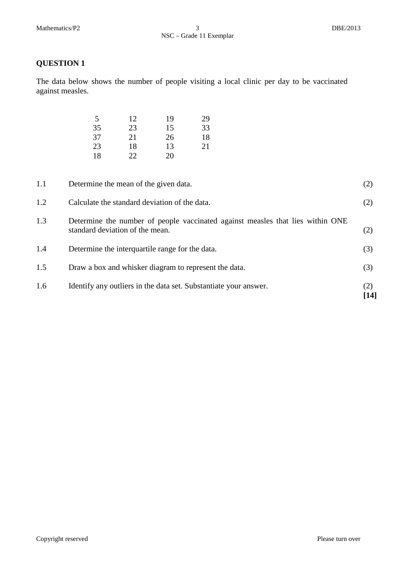The data below shows the number of people visiting a local clinic per day to be vaccinated against measles.

| 5  | 12  | 19 | 29 |
|----|-----|----|----|
| 35 | 23  | 15 | 33 |
| 37 | 21  | 26 | 18 |
| 23 | 18  | 13 | 21 |
| 18 | 22. | 20 |    |

| 1.6 | Identify any outliers in the data set. Substantiate your answer.                                                  | (2)<br>[14] |
|-----|-------------------------------------------------------------------------------------------------------------------|-------------|
| 1.5 | Draw a box and whisker diagram to represent the data.                                                             | (3)         |
| 1.4 | Determine the interquartile range for the data.                                                                   | (3)         |
| 1.3 | Determine the number of people vaccinated against measles that lies within ONE<br>standard deviation of the mean. | (2)         |
| 1.2 | Calculate the standard deviation of the data.                                                                     | (2)         |
| 1.1 | Determine the mean of the given data.                                                                             | (2)         |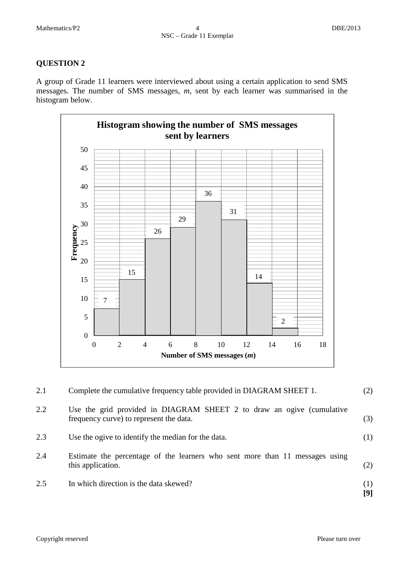A group of Grade 11 learners were interviewed about using a certain application to send SMS messages. The number of SMS messages, *m*, sent by each learner was summarised in the histogram below.



| 2.1 | Complete the cumulative frequency table provided in DIAGRAM SHEET 1.                                             | (2)        |
|-----|------------------------------------------------------------------------------------------------------------------|------------|
| 2.2 | Use the grid provided in DIAGRAM SHEET 2 to draw an ogive (cumulative<br>frequency curve) to represent the data. | (3)        |
| 2.3 | Use the ogive to identify the median for the data.                                                               | (1)        |
| 2.4 | Estimate the percentage of the learners who sent more than 11 messages using<br>this application.                | (2)        |
| 2.5 | In which direction is the data skewed?                                                                           | (1)<br>[9] |
|     |                                                                                                                  |            |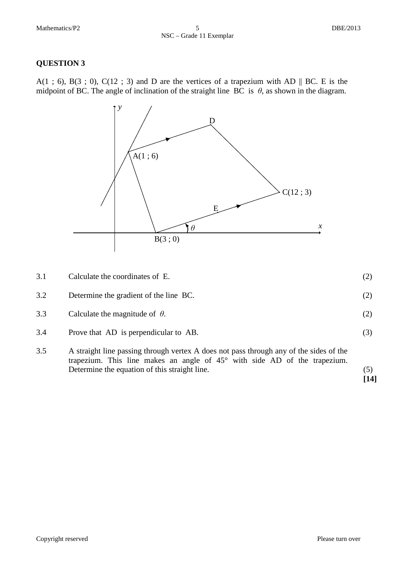A(1 ; 6), B(3 ; 0), C(12 ; 3) and D are the vertices of a trapezium with AD  $\parallel$  BC. E is the midpoint of BC. The angle of inclination of the straight line BC is  $\theta$ , as shown in the diagram.



| 3.1 | Calculate the coordinates of E.                                                                        |     |
|-----|--------------------------------------------------------------------------------------------------------|-----|
| 3.2 | Determine the gradient of the line BC.                                                                 | (2) |
| 3.3 | Calculate the magnitude of $\theta$ .                                                                  | (2) |
| 3.4 | Prove that AD is perpendicular to AB.                                                                  | (3) |
| 35  | $\Lambda$ straight line passing through vertex $\Lambda$ does not pass through any of the sides of the |     |

3.5 A straight line passing through vertex A does not pass through any of the sides of the trapezium. This line makes an angle of 45° with side AD of the trapezium. Determine the equation of this straight line. (5) **[14]**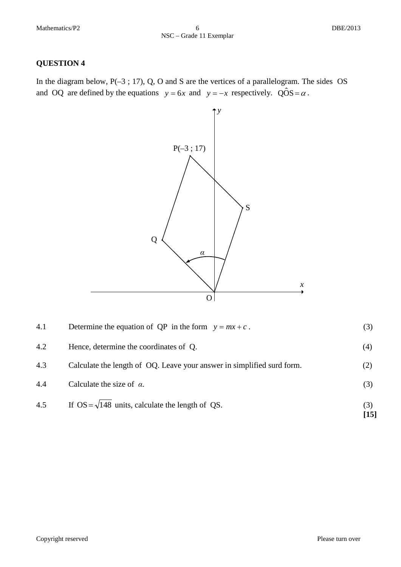In the diagram below, P(-3; 17), Q, O and S are the vertices of a parallelogram. The sides OS and OQ are defined by the equations  $y = 6x$  and  $y = -x$  respectively. QOS =  $\alpha$ .



| 4.5 | If OS = $\sqrt{148}$ units, calculate the length of QS.                | (3)<br>$[15]$ |
|-----|------------------------------------------------------------------------|---------------|
| 4.4 | Calculate the size of $\alpha$ .                                       | (3)           |
| 4.3 | Calculate the length of OQ. Leave your answer in simplified surd form. | (2)           |
| 4.2 | Hence, determine the coordinates of Q.                                 | (4)           |
| 4.1 | Determine the equation of QP in the form $y = mx + c$ .                | (3)           |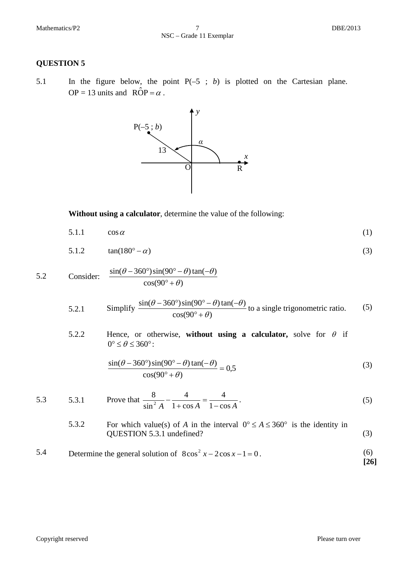5.1 In the figure below, the point P(–5 ; *b*) is plotted on the Cartesian plane. OP = 13 units and  $\angle ROP = \alpha$ .



**Without using a calculator**, determine the value of the following:

$$
5.1.1 \qquad \cos \alpha \tag{1}
$$

$$
5.1.2 \qquad \tan(180^\circ - \alpha) \tag{3}
$$

5.2 Consider: 
$$
\frac{\sin(\theta - 360^\circ)\sin(90^\circ - \theta)\tan(-\theta)}{\cos(90^\circ + \theta)}
$$

5.2.1 Simplify 
$$
\frac{\sin(\theta - 360^\circ)\sin(90^\circ - \theta)\tan(-\theta)}{\cos(90^\circ + \theta)}
$$
 to a single trigonometric ratio. (5)

5.2.2 Hence, or otherwise, **without using a calculator**, solve for 
$$
\theta
$$
 if  $0^{\circ} \leq \theta \leq 360^{\circ}$ :

$$
\frac{\sin(\theta - 360^\circ)\sin(90^\circ - \theta)\tan(-\theta)}{\cos(90^\circ + \theta)} = 0,5\tag{3}
$$

5.3 5.3.1 Prove that 
$$
\frac{8}{\sin^2 A} - \frac{4}{1 + \cos A} = \frac{4}{1 - \cos A}.
$$
 (5)

5.3.2 For which value(s) of A in the interval 
$$
0^{\circ} \le A \le 360^{\circ}
$$
 is the identity in **QUESTION 5.3.1** undefined? (3)

5.4 Determine the general solution of 
$$
8\cos^2 x - 2\cos x - 1 = 0
$$
. (6) [26]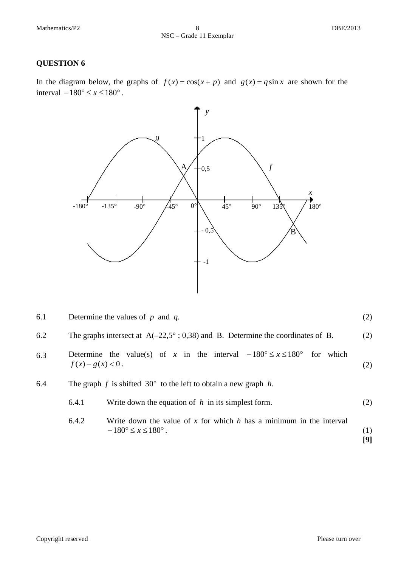In the diagram below, the graphs of  $f(x) = cos(x + p)$  and  $g(x) = q sin x$  are shown for the interval −180° ≤ *x* ≤ 180° .



| 6.1 | Determine the values of $p$ and $q$ . |  |
|-----|---------------------------------------|--|
|     |                                       |  |

- 6.2 The graphs intersect at  $A(-22.5^\circ; 0.38)$  and B. Determine the coordinates of B. (2)
- 6.3 Determine the value(s) of *x* in the interval  $-180^{\circ} \le x \le 180^{\circ}$  for which  $f(x) - g(x) < 0$ . (2)
- 6.4 The graph *f* is shifted  $30^\circ$  to the left to obtain a new graph *h*.

| 6.4.1 | Write down the equation of $h$ in its simplest form. | (2) |
|-------|------------------------------------------------------|-----|
|-------|------------------------------------------------------|-----|

6.4.2 Write down the value of *x* for which *h* has a minimum in the interval  $-180^{\circ} \le x \le 180^{\circ}$ . (1)

**[9]**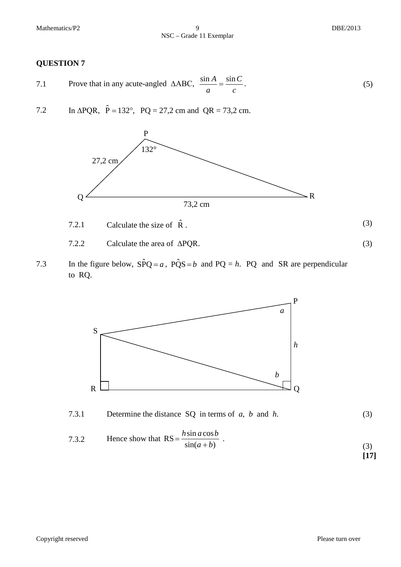Mathematics/P2 9 DBE/2013

NSC – Grade 11 Exemplar

#### **QUESTION 7**

- 7.1 Prove that in any acute-angled ∆ABC, *c C a*  $\frac{\sin A}{\sin A} = \frac{\sin C}{\sin A}$ . (5)
- 7.2 In  $\triangle PQR$ ,  $\hat{P} = 132^\circ$ ,  $PQ = 27.2$  cm and  $QR = 73.2$  cm.



- 7.2.1 Calculate the size of  $\hat{R}$ . (3)
- 7.2.2 Calculate the area of ∆PQR. (3)
- 7.3 In the figure below,  $S\hat{P}Q = a$ ,  $\hat{PQS} = b$  and  $PQ = h$ . PQ and SR are perpendicular to RQ.





7.3.2 Hence show that 
$$
RS = \frac{h \sin a \cos b}{\sin(a+b)}
$$
. (3)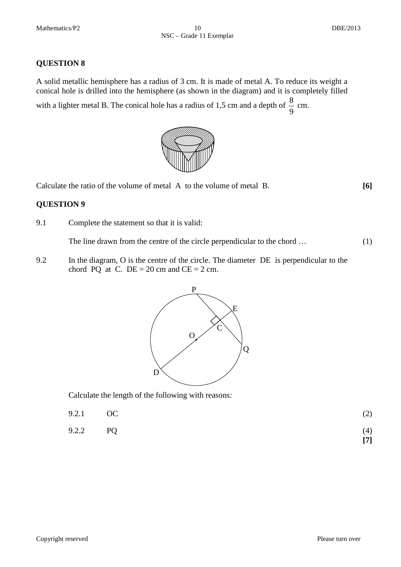A solid metallic hemisphere has a radius of 3 cm. It is made of metal A. To reduce its weight a conical hole is drilled into the hemisphere (as shown in the diagram) and it is completely filled with a lighter metal B. The conical hole has a radius of 1,5 cm and a depth of  $\frac{8}{9}$  cm.



Calculate the ratio of the volume of metal A to the volume of metal B. **[6]**

#### **QUESTION 9**

9.1 Complete the statement so that it is valid:

The line drawn from the centre of the circle perpendicular to the chord ... (1)

9.2 In the diagram, O is the centre of the circle. The diameter DE is perpendicular to the chord PQ at C.  $DE = 20$  cm and  $CE = 2$  cm.



Calculate the length of the following with reasons:

| 9.2.1 OC | (2) |  |
|----------|-----|--|
|          |     |  |

9.2.2 PQ (4) **[7]**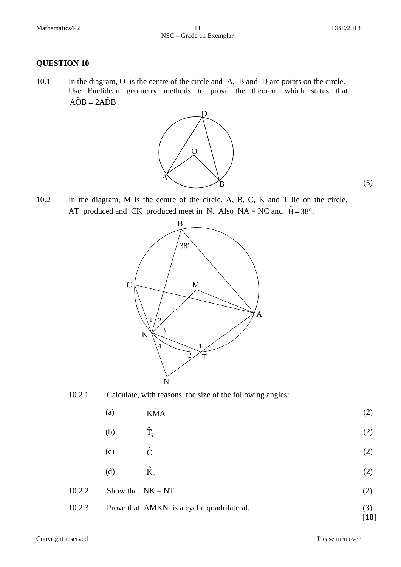(5)

#### **QUESTION 10**

10.1 In the diagram, O is the centre of the circle and A, B and D are points on the circle. Use Euclidean geometry methods to prove the theorem which states that  $\angle AOB = 2A\hat{D}B$ .



10.2 In the diagram, M is the centre of the circle. A, B, C, K and T lie on the circle. AT produced and CK produced meet in N. Also  $NA = NC$  and  $\hat{B} = 38^{\circ}$ .





- (a)  $K\hat{M}A$  (2)
- (b)  $\hat{T}_2$  $\hat{\Gamma}_2$  (2)
- (c)  $\hat{C}$  (2)
- (d)  $\hat{K}_4$  (2)
- 10.2.2 Show that  $NK = NT$ . (2)
- 10.2.3 Prove that AMKN is a cyclic quadrilateral. (3) **[18]**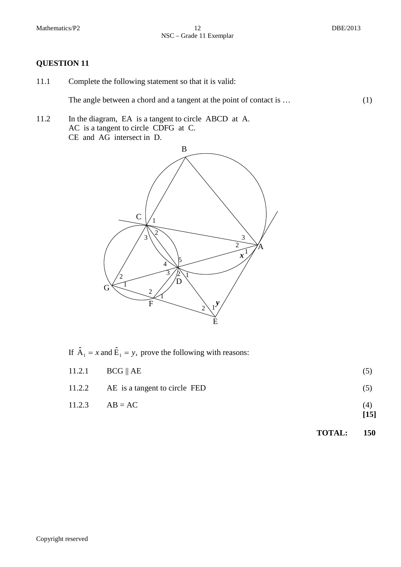- 11.1 Complete the following statement so that it is valid: The angle between a chord and a tangent at the point of contact is ... (1)
- 11.2 In the diagram, EA is a tangent to circle ABCD at A. AC is a tangent to circle CDFG at C. CE and AG intersect in D.



If  $\hat{A}_1 = x$  and  $\hat{E}_1 = y$ , prove the following with reasons:

| 11.2.2 AE is a tangent to circle FED | (5)         |
|--------------------------------------|-------------|
| $11.2.3$ $AB = AC$                   | (4)<br>[15] |

**TOTAL: 150**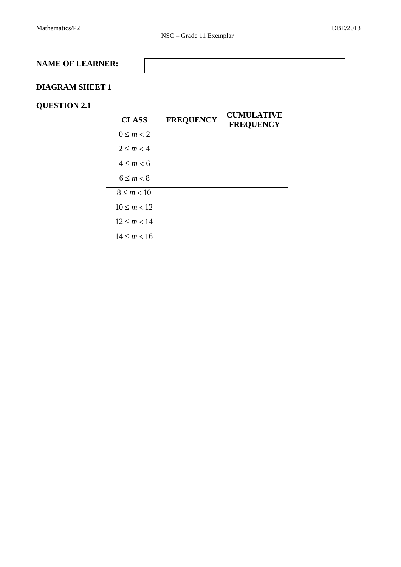#### **NAME OF LEARNER:**

#### **DIAGRAM SHEET 1**

#### **QUESTION 2.1**

| <b>CLASS</b>      | <b>FREQUENCY</b> | <b>CUMULATIVE</b><br><b>FREQUENCY</b> |
|-------------------|------------------|---------------------------------------|
| $0 \le m < 2$     |                  |                                       |
| $2 \le m < 4$     |                  |                                       |
| $4 \le m < 6$     |                  |                                       |
| $6 \leq m < 8$    |                  |                                       |
| $8 \le m < 10$    |                  |                                       |
| $10 \le m < 12$   |                  |                                       |
| $12 \le m < 14$   |                  |                                       |
| $14 \le m \le 16$ |                  |                                       |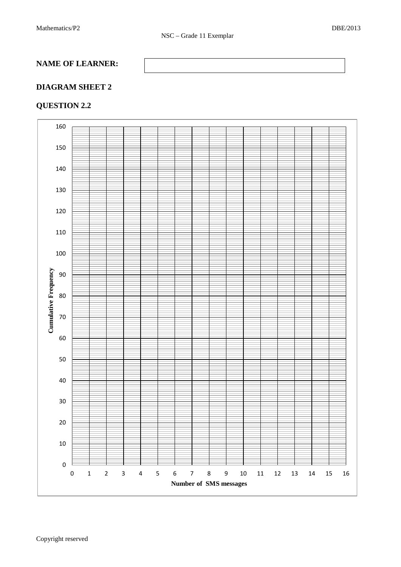#### **NAME OF LEARNER:**

#### **DIAGRAM SHEET 2**

#### **QUESTION 2.2**